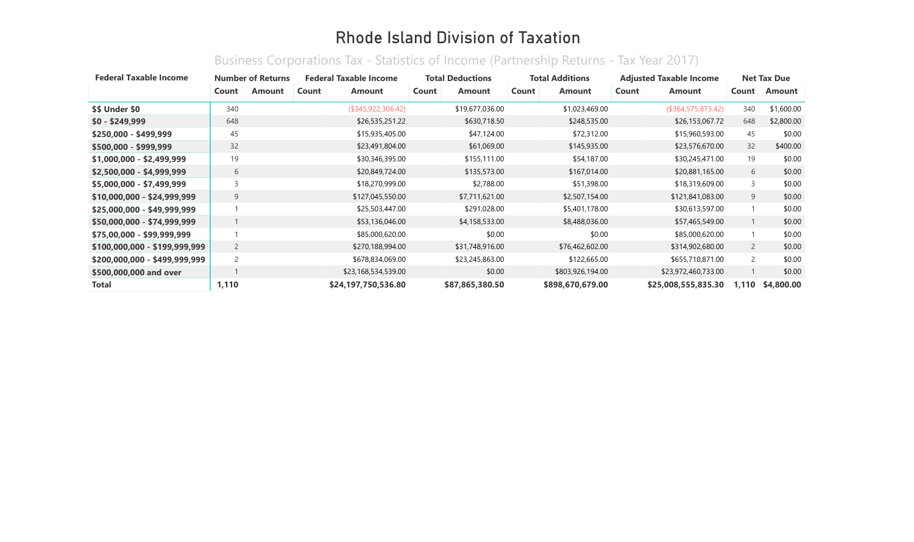## Rhode Island Division of Taxation

| <b>Federal Taxable Income</b> | <b>Number of Returns</b> |        | <b>Federal Taxable Income</b> |                     | <b>Total Deductions</b> |                 | <b>Total Additions</b> |                  | <b>Adjusted Taxable Income</b> |                     | <b>Net Tax Due</b> |            |
|-------------------------------|--------------------------|--------|-------------------------------|---------------------|-------------------------|-----------------|------------------------|------------------|--------------------------------|---------------------|--------------------|------------|
|                               | Count                    | Amount | Count                         | <b>Amount</b>       | Count                   | Amount          | Count                  | <b>Amount</b>    | Count                          | <b>Amount</b>       | Count              | Amount     |
| <b>\$\$ Under \$0</b>         | 340                      |        |                               | (\$345,922,306.42)  |                         | \$19,677,036.00 |                        | \$1,023,469.00   |                                | (\$364,575,873.42)  | 340                | \$1,600.00 |
| $$0 - $249,999$               | 648                      |        |                               | \$26,535,251.22     |                         | \$630,718.50    |                        | \$248,535.00     |                                | \$26,153,067.72     | 648                | \$2,800.00 |
| $$250,000 - $499,999$         | 45                       |        |                               | \$15,935,405.00     |                         | \$47,124.00     |                        | \$72,312.00      |                                | \$15,960,593.00     | 45                 | \$0.00     |
| \$500,000 - \$999,999         | 32                       |        |                               | \$23,491,804.00     |                         | \$61,069.00     |                        | \$145,935.00     |                                | \$23,576,670.00     | 32                 | \$400.00   |
| \$1,000,000 - \$2,499,999     | 19                       |        |                               | \$30,346,395.00     |                         | \$155,111.00    |                        | \$54,187.00      |                                | \$30,245,471.00     | 19                 | \$0.00     |
| \$2,500,000 - \$4,999,999     | 6                        |        |                               | \$20,849,724.00     |                         | \$135,573.00    |                        | \$167,014.00     |                                | \$20,881,165.00     | 6                  | \$0.00     |
| \$5,000,000 - \$7,499,999     | $\overline{3}$           |        |                               | \$18,270,999.00     |                         | \$2,788.00      |                        | \$51,398.00      |                                | \$18,319,609.00     | 3                  | \$0.00     |
| \$10,000,000 - \$24,999,999   | 9                        |        |                               | \$127,045,550.00    |                         | \$7,711,621.00  |                        | \$2,507,154.00   |                                | \$121,841,083.00    | 9                  | \$0.00     |
| \$25,000,000 - \$49,999,999   |                          |        |                               | \$25,503,447.00     |                         | \$291,028.00    |                        | \$5,401,178.00   |                                | \$30,613,597.00     |                    | \$0.00     |
| \$50,000,000 - \$74,999,999   |                          |        |                               | \$53,136,046.00     |                         | \$4,158,533.00  |                        | \$8,488,036.00   |                                | \$57,465,549.00     |                    | \$0.00     |
| \$75,00,000 - \$99,999,999    |                          |        |                               | \$85,000,620.00     |                         | \$0.00          |                        | \$0.00           |                                | \$85,000,620.00     |                    | \$0.00     |
| \$100,000,000 - \$199,999,999 | $\overline{2}$           |        |                               | \$270,188,994.00    |                         | \$31,748,916.00 |                        | \$76,462,602.00  |                                | \$314,902,680.00    | $\overline{2}$     | \$0.00     |
| \$200,000,000 - \$499,999,999 | 2                        |        |                               | \$678,834,069.00    |                         | \$23,245,863.00 |                        | \$122,665.00     |                                | \$655,710,871.00    | $\overline{2}$     | \$0.00     |
| \$500,000,000 and over        |                          |        |                               | \$23,168,534,539.00 |                         | \$0.00          |                        | \$803,926,194.00 |                                | \$23,972,460,733.00 |                    | \$0.00     |
| <b>Total</b>                  | 1,110                    |        |                               | \$24,197,750,536.80 |                         | \$87,865,380.50 |                        | \$898,670,679.00 |                                | \$25,008,555,835.30 | 1,110              | \$4,800.00 |

## Business Corporations Tax - Statistics of Income (Partnership Returns - Tax Year 2017)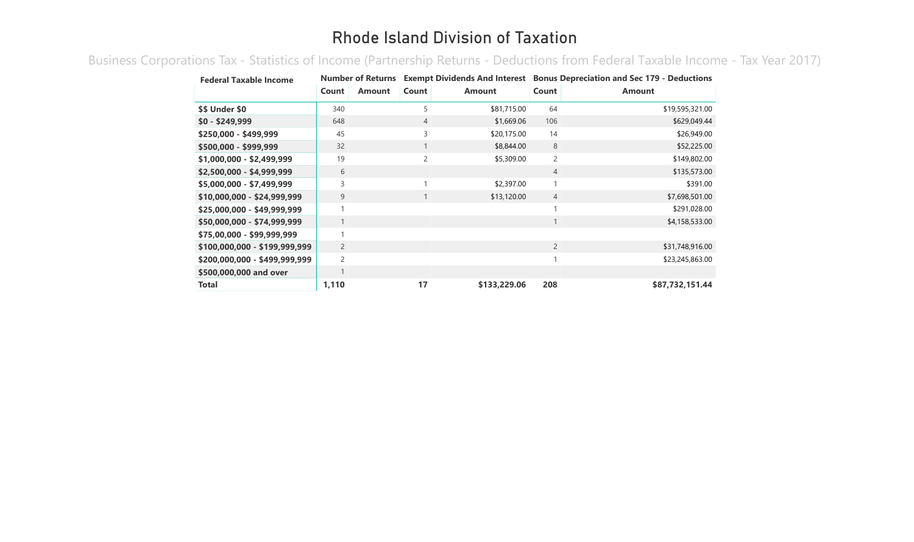## Rhode Island Division of Taxation

Business Corporations Tax - Statistics of Income (Partnership Returns - Deductions from Federal Taxable Income - Tax Year 2017)

| <b>Federal Taxable Income</b> | <b>Number of Returns</b> |               |                |               | <b>Exempt Dividends And Interest Bonus Depreciation and Sec 179 - Deductions</b> |                 |  |  |
|-------------------------------|--------------------------|---------------|----------------|---------------|----------------------------------------------------------------------------------|-----------------|--|--|
|                               | Count                    | <b>Amount</b> | Count          | <b>Amount</b> | Count                                                                            | <b>Amount</b>   |  |  |
| \$\$ Under \$0                | 340                      |               | 5              | \$81,715.00   | 64                                                                               | \$19,595,321.00 |  |  |
| $$0 - $249,999$               | 648                      |               | $\overline{4}$ | \$1,669.06    | 106                                                                              | \$629,049.44    |  |  |
| \$250,000 - \$499,999         | 45                       |               | 3              | \$20,175.00   | 14                                                                               | \$26,949.00     |  |  |
| \$500,000 - \$999,999         | 32                       |               |                | \$8,844.00    | 8                                                                                | \$52,225.00     |  |  |
| \$1,000,000 - \$2,499,999     | 19                       |               | $\overline{c}$ | \$5,309.00    | $\overline{c}$                                                                   | \$149,802.00    |  |  |
| \$2,500,000 - \$4,999,999     | 6                        |               |                |               | $\overline{4}$                                                                   | \$135,573.00    |  |  |
| \$5,000,000 - \$7,499,999     | 3                        |               |                | \$2,397.00    | $\mathbf{1}$                                                                     | \$391.00        |  |  |
| \$10,000,000 - \$24,999,999   | 9                        |               |                | \$13,120.00   | $\overline{4}$                                                                   | \$7,698,501.00  |  |  |
| \$25,000,000 - \$49,999,999   |                          |               |                |               |                                                                                  | \$291,028.00    |  |  |
| \$50,000,000 - \$74,999,999   |                          |               |                |               | $\mathbf{1}$                                                                     | \$4,158,533.00  |  |  |
| \$75,00,000 - \$99,999,999    |                          |               |                |               |                                                                                  |                 |  |  |
| \$100,000,000 - \$199,999,999 | $\overline{2}$           |               |                |               | $\overline{2}$                                                                   | \$31,748,916.00 |  |  |
| \$200,000,000 - \$499,999,999 | $\overline{c}$           |               |                |               | 1                                                                                | \$23,245,863.00 |  |  |
| \$500,000,000 and over        |                          |               |                |               |                                                                                  |                 |  |  |
| <b>Total</b>                  | 1,110                    |               | 17             | \$133,229.06  | 208                                                                              | \$87,732,151.44 |  |  |